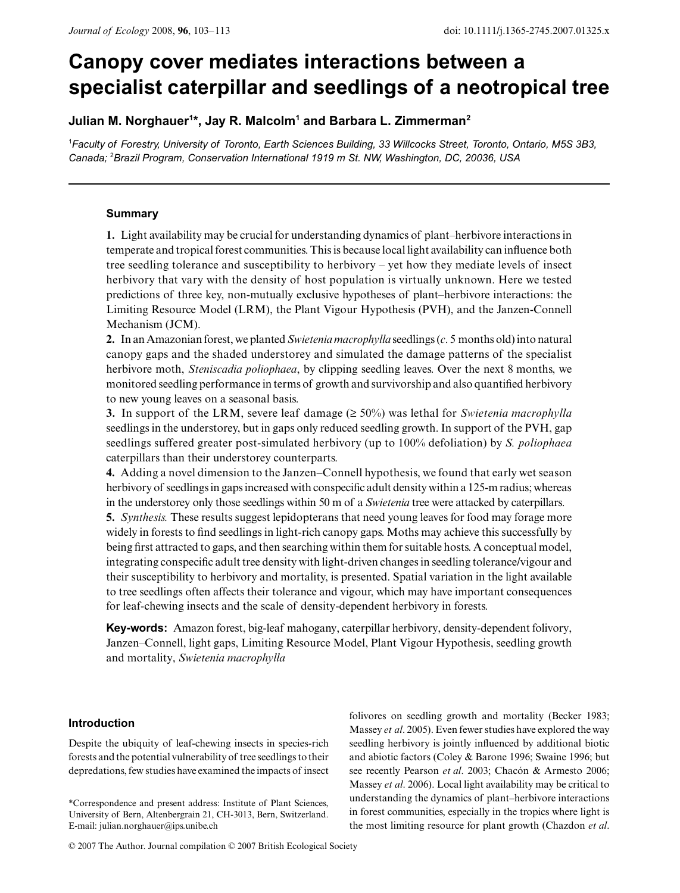# **Canopy cover mediates interactions between a specialist caterpillar and seedlings of a neotropical tree**

# Julian M. Norghauer<sup>1</sup>\*, Jay R. Malcolm<sup>1</sup> and Barbara L. Zimmerman<sup>2</sup>

1 *Faculty of Forestry, University of Toronto, Earth Sciences Building, 33 Willcocks Street, Toronto, Ontario, M5S 3B3, Canada;* <sup>2</sup> *Brazil Program, Conservation International 1919 m St. NW, Washington, DC, 20036, USA*

# **Summary**

**1.** Light availability may be crucial for understanding dynamics of plant–herbivore interactions in temperate and tropical forest communities. This is because local light availability can influence both tree seedling tolerance and susceptibility to herbivory – yet how they mediate levels of insect herbivory that vary with the density of host population is virtually unknown. Here we tested predictions of three key, non-mutually exclusive hypotheses of plant–herbivore interactions: the Limiting Resource Model (LRM), the Plant Vigour Hypothesis (PVH), and the Janzen-Connell Mechanism (JCM).

**2.** In an Amazonian forest, we planted *Swietenia macrophylla* seedlings (*c*. 5 months old) into natural canopy gaps and the shaded understorey and simulated the damage patterns of the specialist herbivore moth, *Steniscadia poliophaea*, by clipping seedling leaves. Over the next 8 months, we monitored seedling performance in terms of growth and survivorship and also quantified herbivory to new young leaves on a seasonal basis.

**3.** In support of the LRM, severe leaf damage ( $\geq$  50%) was lethal for *Swietenia macrophylla* seedlings in the understorey, but in gaps only reduced seedling growth. In support of the PVH, gap seedlings suffered greater post-simulated herbivory (up to 100% defoliation) by *S. poliophaea* caterpillars than their understorey counterparts.

**4.** Adding a novel dimension to the Janzen–Connell hypothesis, we found that early wet season herbivory of seedlings in gaps increased with conspecific adult density within a 125-m radius; whereas in the understorey only those seedlings within 50 m of a *Swietenia* tree were attacked by caterpillars.

**5.** *Synthesis.* These results suggest lepidopterans that need young leaves for food may forage more widely in forests to find seedlings in light-rich canopy gaps. Moths may achieve this successfully by being first attracted to gaps, and then searching within them for suitable hosts. A conceptual model, integrating conspecific adult tree density with light-driven changes in seedling tolerance/vigour and their susceptibility to herbivory and mortality, is presented. Spatial variation in the light available to tree seedlings often affects their tolerance and vigour, which may have important consequences for leaf-chewing insects and the scale of density-dependent herbivory in forests.

**Key-words:** Amazon forest, big-leaf mahogany, caterpillar herbivory, density-dependent folivory, Janzen–Connell, light gaps, Limiting Resource Model, Plant Vigour Hypothesis, seedling growth and mortality, *Swietenia macrophylla*

# **Introduction**

Despite the ubiquity of leaf-chewing insects in species-rich forests and the potential vulnerability of tree seedlings to their depredations, few studies have examined the impacts of insect

folivores on seedling growth and mortality (Becker 1983; Massey *et al*. 2005). Even fewer studies have explored the way seedling herbivory is jointly influenced by additional biotic and abiotic factors (Coley & Barone 1996; Swaine 1996; but see recently Pearson *et al*. 2003; Chacón & Armesto 2006; Massey *et al*. 2006). Local light availability may be critical to understanding the dynamics of plant–herbivore interactions in forest communities, especially in the tropics where light is the most limiting resource for plant growth (Chazdon *et al*.

<sup>\*</sup>Correspondence and present address: Institute of Plant Sciences, University of Bern, Altenbergrain 21, CH-3013, Bern, Switzerland. E-mail: julian.norghauer@ips.unibe.ch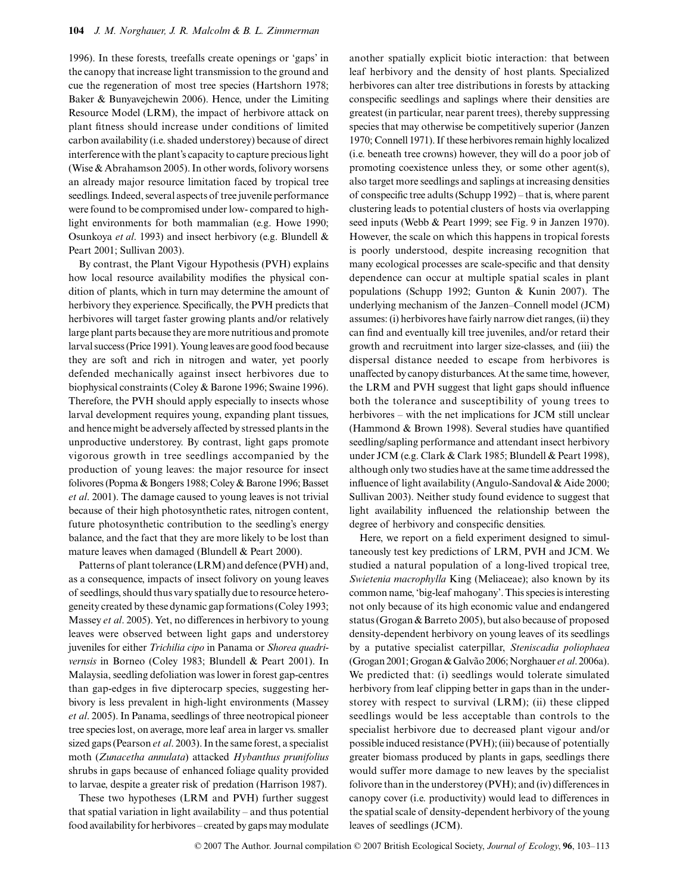1996). In these forests, treefalls create openings or 'gaps' in the canopy that increase light transmission to the ground and cue the regeneration of most tree species (Hartshorn 1978; Baker & Bunyavejchewin 2006). Hence, under the Limiting Resource Model (LRM), the impact of herbivore attack on plant fitness should increase under conditions of limited carbon availability (i.e. shaded understorey) because of direct interference with the plant's capacity to capture precious light (Wise & Abrahamson 2005). In other words, folivory worsens an already major resource limitation faced by tropical tree seedlings. Indeed, several aspects of tree juvenile performance were found to be compromised under low- compared to highlight environments for both mammalian (e.g. Howe 1990; Osunkoya *et al*. 1993) and insect herbivory (e.g. Blundell & Peart 2001; Sullivan 2003).

By contrast, the Plant Vigour Hypothesis (PVH) explains how local resource availability modifies the physical condition of plants, which in turn may determine the amount of herbivory they experience. Specifically, the PVH predicts that herbivores will target faster growing plants and/or relatively large plant parts because they are more nutritious and promote larval success (Price 1991). Young leaves are good food because they are soft and rich in nitrogen and water, yet poorly defended mechanically against insect herbivores due to biophysical constraints (Coley & Barone 1996; Swaine 1996). Therefore, the PVH should apply especially to insects whose larval development requires young, expanding plant tissues, and hence might be adversely affected by stressed plants in the unproductive understorey. By contrast, light gaps promote vigorous growth in tree seedlings accompanied by the production of young leaves: the major resource for insect folivores (Popma & Bongers 1988; Coley & Barone 1996; Basset *et al*. 2001). The damage caused to young leaves is not trivial because of their high photosynthetic rates, nitrogen content, future photosynthetic contribution to the seedling's energy balance, and the fact that they are more likely to be lost than mature leaves when damaged (Blundell & Peart 2000).

Patterns of plant tolerance (LRM) and defence (PVH) and, as a consequence, impacts of insect folivory on young leaves of seedlings, should thus vary spatially due to resource heterogeneity created by these dynamic gap formations (Coley 1993; Massey *et al*. 2005). Yet, no differences in herbivory to young leaves were observed between light gaps and understorey juveniles for either *Trichilia cipo* in Panama or *Shorea quadrivernsis* in Borneo (Coley 1983; Blundell & Peart 2001). In Malaysia, seedling defoliation was lower in forest gap-centres than gap-edges in five dipterocarp species, suggesting herbivory is less prevalent in high-light environments (Massey *et al*. 2005). In Panama, seedlings of three neotropical pioneer tree species lost, on average, more leaf area in larger vs. smaller sized gaps (Pearson *et al*. 2003). In the same forest, a specialist moth (*Zunacetha annulata*) attacked *Hybanthus prunifolius* shrubs in gaps because of enhanced foliage quality provided to larvae, despite a greater risk of predation (Harrison 1987).

These two hypotheses (LRM and PVH) further suggest that spatial variation in light availability – and thus potential food availability for herbivores – created by gaps may modulate another spatially explicit biotic interaction: that between leaf herbivory and the density of host plants. Specialized herbivores can alter tree distributions in forests by attacking conspecific seedlings and saplings where their densities are greatest (in particular, near parent trees), thereby suppressing species that may otherwise be competitively superior (Janzen 1970; Connell 1971). If these herbivores remain highly localized (i.e. beneath tree crowns) however, they will do a poor job of promoting coexistence unless they, or some other agent(s), also target more seedlings and saplings at increasing densities of conspecific tree adults (Schupp 1992) – that is, where parent clustering leads to potential clusters of hosts via overlapping seed inputs (Webb & Peart 1999; see Fig. 9 in Janzen 1970). However, the scale on which this happens in tropical forests is poorly understood, despite increasing recognition that many ecological processes are scale-specific and that density dependence can occur at multiple spatial scales in plant populations (Schupp 1992; Gunton & Kunin 2007). The underlying mechanism of the Janzen–Connell model (JCM) assumes: (i) herbivores have fairly narrow diet ranges, (ii) they can find and eventually kill tree juveniles, and/or retard their growth and recruitment into larger size-classes, and (iii) the dispersal distance needed to escape from herbivores is unaffected by canopy disturbances. At the same time, however, the LRM and PVH suggest that light gaps should influence both the tolerance and susceptibility of young trees to herbivores – with the net implications for JCM still unclear (Hammond & Brown 1998). Several studies have quantified seedling/sapling performance and attendant insect herbivory under JCM (e.g. Clark & Clark 1985; Blundell & Peart 1998), although only two studies have at the same time addressed the influence of light availability (Angulo-Sandoval & Aide 2000; Sullivan 2003). Neither study found evidence to suggest that light availability influenced the relationship between the degree of herbivory and conspecific densities.

Here, we report on a field experiment designed to simultaneously test key predictions of LRM, PVH and JCM. We studied a natural population of a long-lived tropical tree, *Swietenia macrophylla* King (Meliaceae); also known by its common name, 'big-leaf mahogany'. This species is interesting not only because of its high economic value and endangered status (Grogan & Barreto 2005), but also because of proposed density-dependent herbivory on young leaves of its seedlings by a putative specialist caterpillar, *Steniscadia poliophaea* (Grogan 2001; Grogan & Galvão 2006; Norghauer *et al*. 2006a). We predicted that: (i) seedlings would tolerate simulated herbivory from leaf clipping better in gaps than in the understorey with respect to survival (LRM); (ii) these clipped seedlings would be less acceptable than controls to the specialist herbivore due to decreased plant vigour and/or possible induced resistance (PVH); (iii) because of potentially greater biomass produced by plants in gaps, seedlings there would suffer more damage to new leaves by the specialist folivore than in the understorey (PVH); and (iv) differences in canopy cover (i.e. productivity) would lead to differences in the spatial scale of density-dependent herbivory of the young leaves of seedlings (JCM).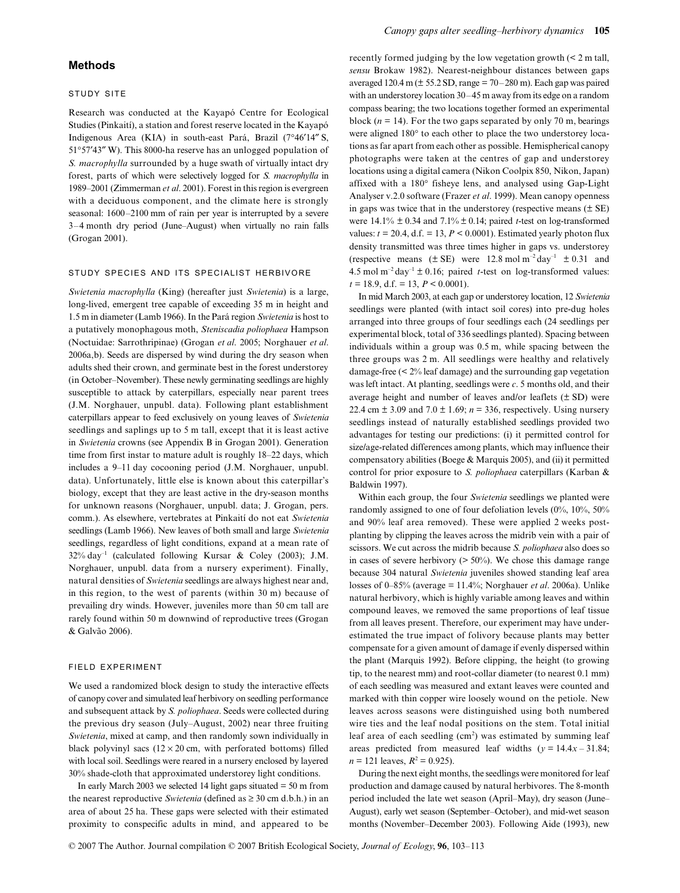# **Methods**

## STUDY SITE

Research was conducted at the Kayapó Centre for Ecological Studies (Pinkaití), a station and forest reserve located in the Kayapó Indigenous Area (KIA) in south-east Pará, Brazil (7°46′14″ S, 51°57′43″ W). This 8000-ha reserve has an unlogged population of *S. macrophylla* surrounded by a huge swath of virtually intact dry forest, parts of which were selectively logged for *S. macrophylla* in 1989–2001 (Zimmerman *et al*. 2001). Forest in this region is evergreen with a deciduous component, and the climate here is strongly seasonal: 1600–2100 mm of rain per year is interrupted by a severe 3–4 month dry period (June–August) when virtually no rain falls (Grogan 2001).

## STUDY SPECIES AND ITS SPECIALIST HERBIVORE

*Swietenia macrophylla* (King) (hereafter just *Swietenia*) is a large, long-lived, emergent tree capable of exceeding 35 m in height and 1.5 m in diameter (Lamb 1966). In the Pará region *Swietenia* is host to a putatively monophagous moth, *Steniscadia poliophaea* Hampson (Noctuidae: Sarrothripinae) (Grogan *et al*. 2005; Norghauer *et al*. 2006a,b). Seeds are dispersed by wind during the dry season when adults shed their crown, and germinate best in the forest understorey (in October–November). These newly germinating seedlings are highly susceptible to attack by caterpillars, especially near parent trees (J.M. Norghauer, unpubl. data). Following plant establishment caterpillars appear to feed exclusively on young leaves of *Swietenia* seedlings and saplings up to 5 m tall, except that it is least active in *Swietenia* crowns (see Appendix B in Grogan 2001). Generation time from first instar to mature adult is roughly 18–22 days, which includes a 9–11 day cocooning period (J.M. Norghauer, unpubl. data). Unfortunately, little else is known about this caterpillar's biology, except that they are least active in the dry-season months for unknown reasons (Norghauer, unpubl. data; J. Grogan, pers. comm.). As elsewhere, vertebrates at Pinkaití do not eat *Swietenia* seedlings (Lamb 1966). New leaves of both small and large *Swietenia* seedlings, regardless of light conditions, expand at a mean rate of  $32\%$  day<sup>-1</sup> (calculated following Kursar & Coley (2003); J.M. Norghauer, unpubl. data from a nursery experiment). Finally, natural densities of *Swietenia* seedlings are always highest near and, in this region, to the west of parents (within 30 m) because of prevailing dry winds. However, juveniles more than 50 cm tall are rarely found within 50 m downwind of reproductive trees (Grogan & Galvão 2006).

## FIELD EXPERIMENT

We used a randomized block design to study the interactive effects of canopy cover and simulated leaf herbivory on seedling performance and subsequent attack by *S. poliophaea*. Seeds were collected during the previous dry season (July–August, 2002) near three fruiting *Swietenia*, mixed at camp, and then randomly sown individually in black polyvinyl sacs  $(12 \times 20 \text{ cm}, \text{ with performed bottom})$  filled with local soil. Seedlings were reared in a nursery enclosed by layered 30% shade-cloth that approximated understorey light conditions.

In early March 2003 we selected 14 light gaps situated  $= 50$  m from the nearest reproductive *Swietenia* (defined as  $\geq 30$  cm d.b.h.) in an area of about 25 ha. These gaps were selected with their estimated proximity to conspecific adults in mind, and appeared to be recently formed judging by the low vegetation growth (< 2 m tall, *sensu* Brokaw 1982). Nearest-neighbour distances between gaps averaged 120.4 m ( $\pm$  55.2 SD, range = 70–280 m). Each gap was paired with an understorey location 30–45 m away from its edge on a random compass bearing; the two locations together formed an experimental block ( $n = 14$ ). For the two gaps separated by only 70 m, bearings were aligned 180° to each other to place the two understorey locations as far apart from each other as possible. Hemispherical canopy photographs were taken at the centres of gap and understorey locations using a digital camera (Nikon Coolpix 850, Nikon, Japan) affixed with a 180° fisheye lens, and analysed using Gap-Light Analyser v.2.0 software (Frazer *et al*. 1999). Mean canopy openness in gaps was twice that in the understorey (respective means  $(\pm \text{ SE})$ ) were 14.1% ± 0.34 and 7.1% ± 0.14; paired *t*-test on log-transformed values:  $t = 20.4$ , d.f. = 13,  $P < 0.0001$ ). Estimated yearly photon flux density transmitted was three times higher in gaps vs. understorey (respective means  $(\pm S$ E) were 12.8 mol m<sup>-2</sup> day<sup>-1</sup>  $\pm$  0.31 and 4.5 mol  $m^{-2}$ day<sup>-1</sup> ± 0.16; paired *t*-test on log-transformed values:  $t = 18.9$ , d.f. = 13,  $P < 0.0001$ ).

In mid March 2003, at each gap or understorey location, 12 *Swietenia* seedlings were planted (with intact soil cores) into pre-dug holes arranged into three groups of four seedlings each (24 seedlings per experimental block, total of 336 seedlings planted). Spacing between individuals within a group was 0.5 m, while spacing between the three groups was 2 m. All seedlings were healthy and relatively damage-free (< 2% leaf damage) and the surrounding gap vegetation was left intact. At planting, seedlings were *c*. 5 months old, and their average height and number of leaves and/or leaflets  $(\pm SD)$  were 22.4 cm  $\pm$  3.09 and 7.0  $\pm$  1.69; *n* = 336, respectively. Using nursery seedlings instead of naturally established seedlings provided two advantages for testing our predictions: (i) it permitted control for size/age-related differences among plants, which may influence their compensatory abilities (Boege  $&$  Marquis 2005), and (ii) it permitted control for prior exposure to *S. poliophaea* caterpillars (Karban & Baldwin 1997).

Within each group, the four *Swietenia* seedlings we planted were randomly assigned to one of four defoliation levels (0%, 10%, 50% and 90% leaf area removed). These were applied 2 weeks postplanting by clipping the leaves across the midrib vein with a pair of scissors. We cut across the midrib because *S. poliophaea* also does so in cases of severe herbivory  $($  >  $50\%)$ . We chose this damage range because 304 natural *Swietenia* juveniles showed standing leaf area losses of 0–85% (average = 11.4%; Norghauer *et al*. 2006a). Unlike natural herbivory, which is highly variable among leaves and within compound leaves, we removed the same proportions of leaf tissue from all leaves present. Therefore, our experiment may have underestimated the true impact of folivory because plants may better compensate for a given amount of damage if evenly dispersed within the plant (Marquis 1992). Before clipping, the height (to growing tip, to the nearest mm) and root-collar diameter (to nearest 0.1 mm) of each seedling was measured and extant leaves were counted and marked with thin copper wire loosely wound on the petiole. New leaves across seasons were distinguished using both numbered wire ties and the leaf nodal positions on the stem. Total initial leaf area of each seedling  $(cm<sup>2</sup>)$  was estimated by summing leaf areas predicted from measured leaf widths  $(y = 14.4x - 31.84;$  $n = 121$  leaves,  $R^2 = 0.925$ ).

During the next eight months, the seedlings were monitored for leaf production and damage caused by natural herbivores. The 8-month period included the late wet season (April–May), dry season (June– August), early wet season (September–October), and mid-wet season months (November–December 2003). Following Aide (1993), new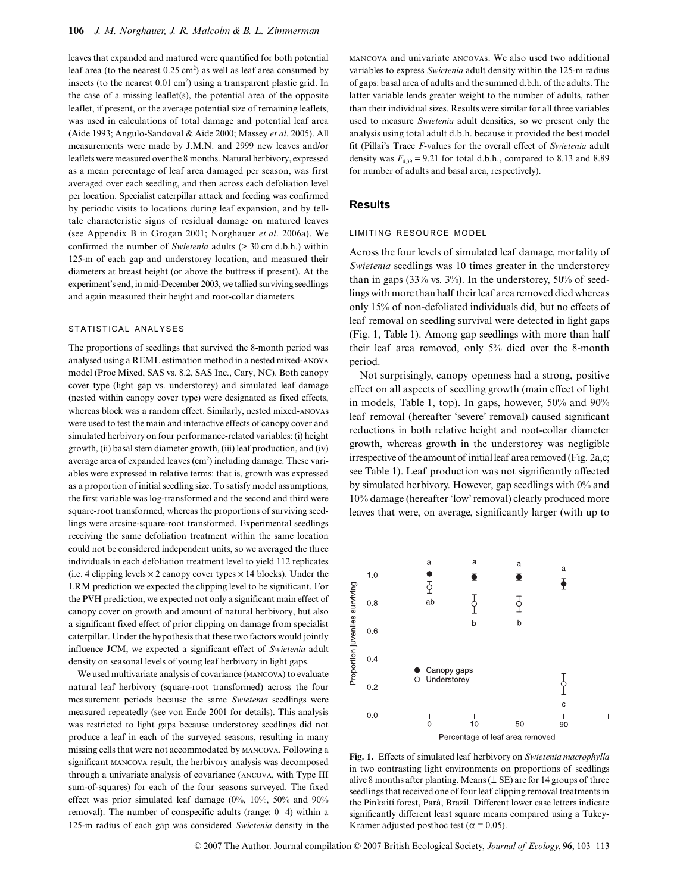leaves that expanded and matured were quantified for both potential leaf area (to the nearest  $0.25 \text{ cm}^2$ ) as well as leaf area consumed by insects (to the nearest  $0.01 \text{ cm}^2$ ) using a transparent plastic grid. In the case of a missing leaflet(s), the potential area of the opposite leaflet, if present, or the average potential size of remaining leaflets, was used in calculations of total damage and potential leaf area (Aide 1993; Angulo-Sandoval & Aide 2000; Massey *et al*. 2005). All measurements were made by J.M.N. and 2999 new leaves and/or leaflets were measured over the 8 months. Natural herbivory, expressed as a mean percentage of leaf area damaged per season, was first averaged over each seedling, and then across each defoliation level per location. Specialist caterpillar attack and feeding was confirmed by periodic visits to locations during leaf expansion, and by telltale characteristic signs of residual damage on matured leaves (see Appendix B in Grogan 2001; Norghauer *et al*. 2006a). We confirmed the number of *Swietenia* adults (> 30 cm d.b.h.) within 125-m of each gap and understorey location, and measured their diameters at breast height (or above the buttress if present). At the experiment's end, in mid-December 2003, we tallied surviving seedlings and again measured their height and root-collar diameters.

#### STATISTICAL ANALYSES

The proportions of seedlings that survived the 8-month period was analysed using a REML estimation method in a nested mixed-anova model (Proc Mixed, SAS vs. 8.2, SAS Inc., Cary, NC). Both canopy cover type (light gap vs. understorey) and simulated leaf damage (nested within canopy cover type) were designated as fixed effects, whereas block was a random effect. Similarly, nested mixed-anovas were used to test the main and interactive effects of canopy cover and simulated herbivory on four performance-related variables: (i) height growth, (ii) basal stem diameter growth, (iii) leaf production, and (iv) average area of expanded leaves  $(cm<sup>2</sup>)$  including damage. These variables were expressed in relative terms: that is, growth was expressed as a proportion of initial seedling size. To satisfy model assumptions, the first variable was log-transformed and the second and third were square-root transformed, whereas the proportions of surviving seedlings were arcsine-square-root transformed. Experimental seedlings receiving the same defoliation treatment within the same location could not be considered independent units, so we averaged the three individuals in each defoliation treatment level to yield 112 replicates (i.e. 4 clipping levels  $\times$  2 canopy cover types  $\times$  14 blocks). Under the LRM prediction we expected the clipping level to be significant. For the PVH prediction, we expected not only a significant main effect of canopy cover on growth and amount of natural herbivory, but also a significant fixed effect of prior clipping on damage from specialist caterpillar. Under the hypothesis that these two factors would jointly influence JCM, we expected a significant effect of *Swietenia* adult density on seasonal levels of young leaf herbivory in light gaps.

We used multivariate analysis of covariance (mancova) to evaluate natural leaf herbivory (square-root transformed) across the four measurement periods because the same *Swietenia* seedlings were measured repeatedly (see von Ende 2001 for details). This analysis was restricted to light gaps because understorey seedlings did not produce a leaf in each of the surveyed seasons, resulting in many missing cells that were not accommodated by mancova. Following a significant mancova result, the herbivory analysis was decomposed through a univariate analysis of covariance (ancova, with Type III sum-of-squares) for each of the four seasons surveyed. The fixed effect was prior simulated leaf damage (0%, 10%, 50% and 90% removal). The number of conspecific adults (range: 0–4) within a 125-m radius of each gap was considered *Swietenia* density in the

mancova and univariate ancovas. We also used two additional variables to express *Swietenia* adult density within the 125-m radius of gaps: basal area of adults and the summed d.b.h. of the adults. The latter variable lends greater weight to the number of adults, rather than their individual sizes. Results were similar for all three variables used to measure *Swietenia* adult densities, so we present only the analysis using total adult d.b.h. because it provided the best model fit (Pillai's Trace *F*-values for the overall effect of *Swietenia* adult density was  $F_{4,39} = 9.21$  for total d.b.h., compared to 8.13 and 8.89 for number of adults and basal area, respectively).

# **Results**

#### LIMITING RESOURCE MODEL

Across the four levels of simulated leaf damage, mortality of *Swietenia* seedlings was 10 times greater in the understorey than in gaps (33% vs. 3%). In the understorey, 50% of seedlings with more than half their leaf area removed died whereas only 15% of non-defoliated individuals did, but no effects of leaf removal on seedling survival were detected in light gaps (Fig. 1, Table 1). Among gap seedlings with more than half their leaf area removed, only 5% died over the 8-month period.

Not surprisingly, canopy openness had a strong, positive effect on all aspects of seedling growth (main effect of light in models, Table 1, top). In gaps, however, 50% and 90% leaf removal (hereafter 'severe' removal) caused significant reductions in both relative height and root-collar diameter growth, whereas growth in the understorey was negligible irrespective of the amount of initial leaf area removed (Fig. 2a,c; see Table 1). Leaf production was not significantly affected by simulated herbivory. However, gap seedlings with 0% and 10% damage (hereafter 'low' removal) clearly produced more leaves that were, on average, significantly larger (with up to



**Fig. 1.** Effects of simulated leaf herbivory on *Swietenia macrophylla* in two contrasting light environments on proportions of seedlings alive 8 months after planting. Means  $(\pm \text{ SE})$  are for 14 groups of three seedlings that received one of four leaf clipping removal treatments in the Pinkaití forest, Pará, Brazil. Different lower case letters indicate significantly different least square means compared using a Tukey-Kramer adjusted posthoc test ( $\alpha$  = 0.05).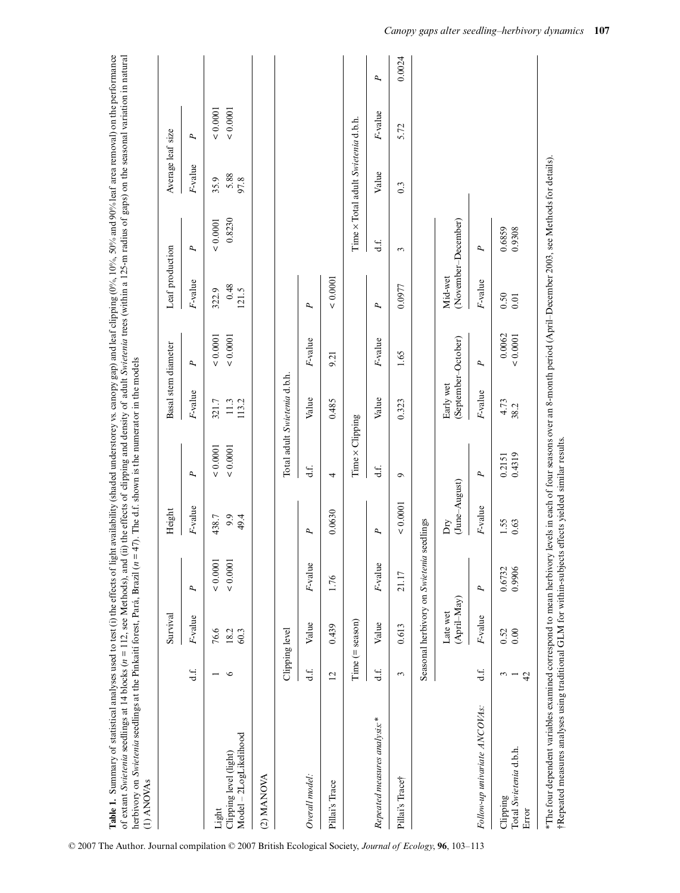|                                                           |                                                 | Survival                |                                           | Height                       |                  | Basal stem diameter          |                         | Leaf production        |                     | Average leaf size                   |                         |              |
|-----------------------------------------------------------|-------------------------------------------------|-------------------------|-------------------------------------------|------------------------------|------------------|------------------------------|-------------------------|------------------------|---------------------|-------------------------------------|-------------------------|--------------|
|                                                           | d.f                                             | F-value                 | P,                                        | F-value                      | P,               | F-value                      | P                       | F-value                | P,                  | F-value                             | P,                      |              |
| Model – 2LogLikelihood<br>Clipping level (light)<br>Light | $\circ$                                         | 76.6<br>60.3<br>18.2    | ${}_{0.0001}$<br>$\sum$<br>0.00           | 9.9<br>49.4<br>438.7         | 0.0001<br>0.0001 | 11.3<br>113.2<br>321.7       | ${}_{0.0001}$<br>0.0001 | 0.48<br>322.9<br>121.5 | 0.8230<br>0.0001    | 5.88<br>97.8<br>35.9                | ${}_{0.0001}$<br>0.0001 |              |
| (2) MANOVA                                                |                                                 |                         |                                           |                              |                  |                              |                         |                        |                     |                                     |                         |              |
|                                                           |                                                 | Clipping level          |                                           |                              |                  | Total adult Swietenia d.b.h. |                         |                        |                     |                                     |                         |              |
| Overall model:                                            | d.f                                             | Value                   | به<br>F-valu                              | $\mathbf{p}$                 | d.f.             | Value                        | F-value                 | $\mathbf{p}$           |                     |                                     |                         |              |
| Pillai's Trace                                            | $\overline{12}$                                 | 0.439                   | 1.76                                      | 0.0630                       | 4                | 0.485                        | 9.21                    | 0.0001                 |                     |                                     |                         |              |
|                                                           |                                                 | $Time (= season)$       |                                           |                              | Time x Clipping  |                              |                         |                        |                     | Time x Total adult Swietenia d.b.h. |                         |              |
| Repeated measures analysis:*                              | d.f.                                            | Value                   | $\ddot{\mathbf{Q}}$<br>F-valu             | $\mathbf{r}$                 | d.f.             | Value                        | F-value                 | $\mathbf{r}$           | $\ddot{d}$ .        | Value                               | F-value                 | $\mathbf{a}$ |
| Pillai's Trace†                                           | 3                                               | 0.613                   | 21.17                                     | < 0.0001                     | $\sigma$         | 0.323                        | 1.65                    | 0.0977                 | 3                   | 0.3                                 | 5.72                    | 0.0024       |
|                                                           |                                                 |                         | Seasonal herbivory on Swietenia seedlings |                              |                  |                              |                         |                        |                     |                                     |                         |              |
|                                                           |                                                 | (April-May)<br>Late wet |                                           | (June–August)<br>$\sum \chi$ |                  | Early wet                    | (September-October)     | Mid-wet                | (November-December) |                                     |                         |              |
| Follow-up univariate ANCOVAs:                             | $\ddot{d}$ .                                    | $F$ -value              | P,                                        | $F$ -value                   | P                | F-value                      | P                       | F-value                | P,                  |                                     |                         |              |
| Total Swietenia d.b.h.<br>Clipping<br>Error               | $\overline{4}$<br>3<br>$\overline{\phantom{a}}$ | 0.52<br>0.00            | 0.6732<br>0.9906                          | 1.55<br>0.63                 | 0.4319<br>0.2151 | 4.73<br>38.2                 | 0.0062<br>${}_{0.0001}$ | 0.50<br>0.01           | 0.6859<br>0.9308    |                                     |                         |              |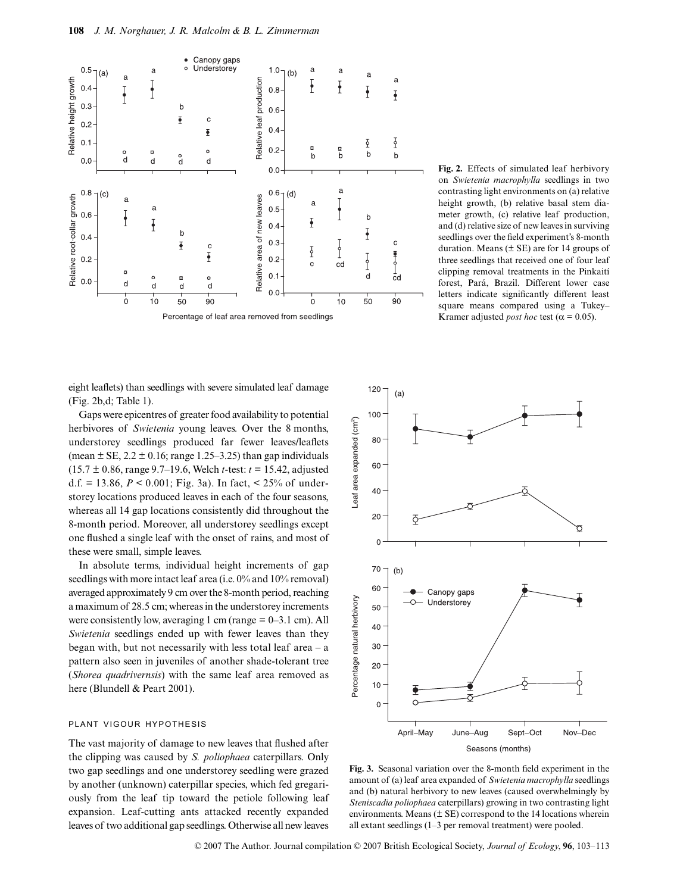

eight leaflets) than seedlings with severe simulated leaf damage (Fig. 2b,d; Table 1).

Gaps were epicentres of greater food availability to potential herbivores of *Swietenia* young leaves. Over the 8 months, understorey seedlings produced far fewer leaves/leaflets (mean  $\pm$  SE, 2.2  $\pm$  0.16; range 1.25–3.25) than gap individuals (15.7 ± 0.86, range 9.7–19.6, Welch *t*-test: *t* = 15.42, adjusted d.f. = 13.86,  $P < 0.001$ ; Fig. 3a). In fact,  $< 25\%$  of understorey locations produced leaves in each of the four seasons, whereas all 14 gap locations consistently did throughout the 8-month period. Moreover, all understorey seedlings except one flushed a single leaf with the onset of rains, and most of these were small, simple leaves.

In absolute terms, individual height increments of gap seedlings with more intact leaf area (i.e. 0% and 10% removal) averaged approximately 9 cm over the 8-month period, reaching a maximum of 28.5 cm; whereas in the understorey increments were consistently low, averaging 1 cm (range  $= 0-3.1$  cm). All *Swietenia* seedlings ended up with fewer leaves than they began with, but not necessarily with less total leaf area  $-$  a pattern also seen in juveniles of another shade-tolerant tree (*Shorea quadrivernsis*) with the same leaf area removed as here (Blundell & Peart 2001).

#### PLANT VIGOUR HYPOTHESIS

The vast majority of damage to new leaves that flushed after the clipping was caused by *S. poliophaea* caterpillars. Only two gap seedlings and one understorey seedling were grazed by another (unknown) caterpillar species, which fed gregariously from the leaf tip toward the petiole following leaf expansion. Leaf-cutting ants attacked recently expanded leaves of two additional gap seedlings. Otherwise all new leaves

**Fig. 2.** Effects of simulated leaf herbivory on *Swietenia macrophylla* seedlings in two contrasting light environments on (a) relative height growth, (b) relative basal stem diameter growth, (c) relative leaf production, and (d) relative size of new leaves in surviving seedlings over the field experiment's 8-month duration. Means  $(\pm \text{ SE})$  are for 14 groups of three seedlings that received one of four leaf clipping removal treatments in the Pinkaití forest, Pará, Brazil. Different lower case letters indicate significantly different least square means compared using a Tukey– Kramer adjusted *post hoc* test ( $\alpha$  = 0.05).



**Fig. 3.** Seasonal variation over the 8-month field experiment in the amount of (a) leaf area expanded of *Swietenia macrophylla* seedlings and (b) natural herbivory to new leaves (caused overwhelmingly by *Steniscadia poliophaea* caterpillars) growing in two contrasting light environments. Means  $(\pm \text{ SE})$  correspond to the 14 locations wherein all extant seedlings (1–3 per removal treatment) were pooled.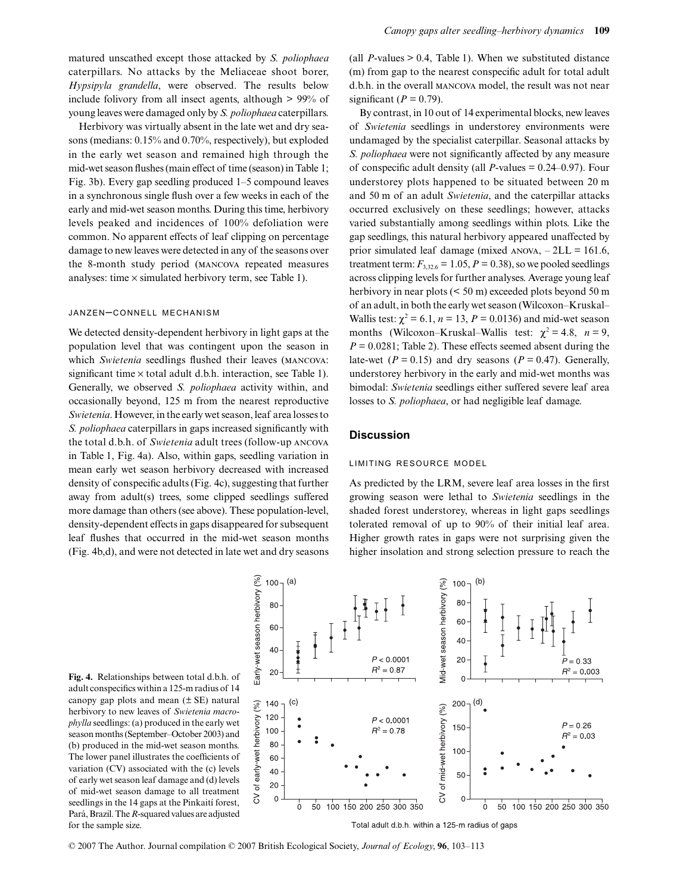matured unscathed except those attacked by *S. poliophaea* caterpillars. No attacks by the Meliaceae shoot borer, *Hypsipyla grandella*, were observed. The results below include folivory from all insect agents, although > 99% of young leaves were damaged only by *S. poliophaea* caterpillars.

Herbivory was virtually absent in the late wet and dry seasons (medians: 0.15% and 0.70%, respectively), but exploded in the early wet season and remained high through the mid-wet season flushes (main effect of time (season) in Table 1; Fig. 3b). Every gap seedling produced 1–5 compound leaves in a synchronous single flush over a few weeks in each of the early and mid-wet season months. During this time, herbivory levels peaked and incidences of 100% defoliation were common. No apparent effects of leaf clipping on percentage damage to new leaves were detected in any of the seasons over the 8-month study period (mancova repeated measures analyses: time  $\times$  simulated herbivory term, see Table 1).

#### JANZEN–CONNELL MECHANISM

We detected density-dependent herbivory in light gaps at the population level that was contingent upon the season in which *Swietenia* seedlings flushed their leaves (mancova: significant time  $\times$  total adult d.b.h. interaction, see Table 1). Generally, we observed *S. poliophaea* activity within, and occasionally beyond, 125 m from the nearest reproductive *Swietenia*. However, in the early wet season, leaf area losses to *S. poliophaea* caterpillars in gaps increased significantly with the total d.b.h. of *Swietenia* adult trees (follow-up ancova in Table 1, Fig. 4a). Also, within gaps, seedling variation in mean early wet season herbivory decreased with increased density of conspecific adults (Fig. 4c), suggesting that further away from adult(s) trees, some clipped seedlings suffered more damage than others (see above). These population-level, density-dependent effects in gaps disappeared for subsequent leaf flushes that occurred in the mid-wet season months (Fig. 4b,d), and were not detected in late wet and dry seasons (all  $P$ -values  $> 0.4$ , Table 1). When we substituted distance (m) from gap to the nearest conspecific adult for total adult d.b.h. in the overall mancova model, the result was not near significant ( $P = 0.79$ ).

By contrast, in 10 out of 14 experimental blocks, new leaves of *Swietenia* seedlings in understorey environments were undamaged by the specialist caterpillar. Seasonal attacks by *S. poliophaea* were not significantly affected by any measure of conspecific adult density (all *P-*values = 0.24–0.97). Four understorey plots happened to be situated between 20 m and 50 m of an adult *Swietenia*, and the caterpillar attacks occurred exclusively on these seedlings; however, attacks varied substantially among seedlings within plots. Like the gap seedlings, this natural herbivory appeared unaffected by prior simulated leaf damage (mixed  $ANOVA$ ,  $-2LL = 161.6$ , treatment term:  $F_{3,32.6} = 1.05$ ,  $P = 0.38$ ), so we pooled seedlings across clipping levels for further analyses. Average young leaf herbivory in near plots (< 50 m) exceeded plots beyond 50 m of an adult, in both the early wet season (Wilcoxon–Kruskal– Wallis test:  $\chi^2 = 6.1$ ,  $n = 13$ ,  $P = 0.0136$ ) and mid-wet season months (Wilcoxon–Kruskal–Wallis test:  $\chi^2 = 4.8$ ,  $n = 9$ ,  $P = 0.0281$ ; Table 2). These effects seemed absent during the late-wet ( $P = 0.15$ ) and dry seasons ( $P = 0.47$ ). Generally, understorey herbivory in the early and mid-wet months was bimodal: *Swietenia* seedlings either suffered severe leaf area losses to *S. poliophaea*, or had negligible leaf damage.

# **Discussion**

## LIMITING RESOURCE MODEL

As predicted by the LRM, severe leaf area losses in the first growing season were lethal to *Swietenia* seedlings in the shaded forest understorey, whereas in light gaps seedlings tolerated removal of up to 90% of their initial leaf area. Higher growth rates in gaps were not surprising given the higher insolation and strong selection pressure to reach the





© 2007 The Author. Journal compilation © 2007 British Ecological Society, *Journal of Ecology*, **96**, 103–113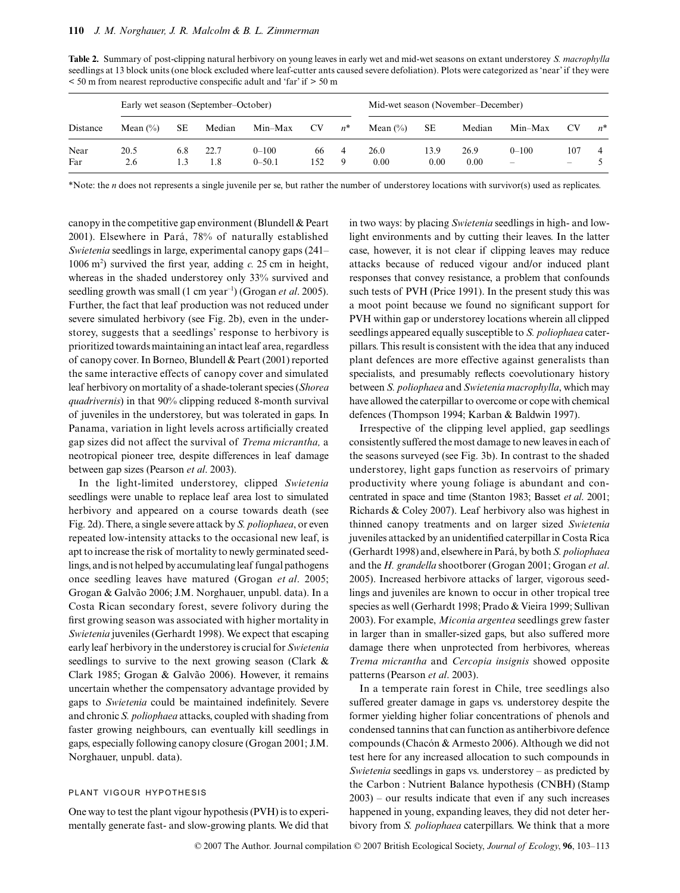| Distance | Early wet season (September-October) |     |        |            |     |       | Mid-wet season (November–December) |           |        |                          |           |          |
|----------|--------------------------------------|-----|--------|------------|-----|-------|------------------------------------|-----------|--------|--------------------------|-----------|----------|
|          | Mean $(\% )$                         | SE  | Median | Min–Max CV |     | $n^*$ | Mean $(\% )$                       | <b>SE</b> | Median | Min–Max                  | <b>CV</b> | $n^*$    |
| Near     | 20.5                                 | 6.8 | 22.7   | $0 - 100$  | -66 | 4     | 26.0                               | 13.9      | 26.9   | $0 - 100$                | 107       | $\sim$ 4 |
| Far      | 2.6                                  | 1.3 | 1.8    | $0 - 50.1$ | 152 | 9     | 0.00                               | 0.00      | 0.00   | $\overline{\phantom{a}}$ |           |          |

**Table 2.** Summary of post-clipping natural herbivory on young leaves in early wet and mid-wet seasons on extant understorey *S. macrophylla* seedlings at 13 block units (one block excluded where leaf-cutter ants caused severe defoliation). Plots were categorized as 'near' if they were < 50 m from nearest reproductive conspecific adult and 'far' if > 50 m

\*Note: the *n* does not represents a single juvenile per se, but rather the number of understorey locations with survivor(s) used as replicates.

canopy in the competitive gap environment (Blundell & Peart 2001). Elsewhere in Pará, 78% of naturally established *Swietenia* seedlings in large, experimental canopy gaps (241– 1006 m<sup>2</sup> ) survived the first year, adding *c.* 25 cm in height, whereas in the shaded understorey only 33% survived and seedling growth was small (1 cm year<sup>-1</sup>) (Grogan *et al.* 2005). Further, the fact that leaf production was not reduced under severe simulated herbivory (see Fig. 2b), even in the understorey, suggests that a seedlings' response to herbivory is prioritized towards maintaining an intact leaf area, regardless of canopy cover. In Borneo, Blundell & Peart (2001) reported the same interactive effects of canopy cover and simulated leaf herbivory on mortality of a shade-tolerant species (*Shorea quadrivernis*) in that 90% clipping reduced 8-month survival of juveniles in the understorey, but was tolerated in gaps. In Panama, variation in light levels across artificially created gap sizes did not affect the survival of *Trema micrantha,* a neotropical pioneer tree, despite differences in leaf damage between gap sizes (Pearson *et al*. 2003).

In the light-limited understorey, clipped *Swietenia* seedlings were unable to replace leaf area lost to simulated herbivory and appeared on a course towards death (see Fig. 2d). There, a single severe attack by *S. poliophaea*, or even repeated low-intensity attacks to the occasional new leaf, is apt to increase the risk of mortality to newly germinated seedlings, and is not helped by accumulating leaf fungal pathogens once seedling leaves have matured (Grogan *et al*. 2005; Grogan & Galvão 2006; J.M. Norghauer, unpubl. data). In a Costa Rican secondary forest, severe folivory during the first growing season was associated with higher mortality in *Swietenia* juveniles (Gerhardt 1998). We expect that escaping early leaf herbivory in the understorey is crucial for *Swietenia* seedlings to survive to the next growing season (Clark & Clark 1985; Grogan & Galvão 2006). However, it remains uncertain whether the compensatory advantage provided by gaps to *Swietenia* could be maintained indefinitely. Severe and chronic *S. poliophaea* attacks, coupled with shading from faster growing neighbours, can eventually kill seedlings in gaps, especially following canopy closure (Grogan 2001; J.M. Norghauer, unpubl. data).

#### PLANT VIGOUR HYPOTHESIS

One way to test the plant vigour hypothesis (PVH) is to experimentally generate fast- and slow-growing plants. We did that in two ways: by placing *Swietenia* seedlings in high- and lowlight environments and by cutting their leaves. In the latter case, however, it is not clear if clipping leaves may reduce attacks because of reduced vigour and/or induced plant responses that convey resistance, a problem that confounds such tests of PVH (Price 1991). In the present study this was a moot point because we found no significant support for PVH within gap or understorey locations wherein all clipped seedlings appeared equally susceptible to *S. poliophaea* caterpillars. This result is consistent with the idea that any induced plant defences are more effective against generalists than specialists, and presumably reflects coevolutionary history between *S. poliophaea* and *Swietenia macrophylla*, which may have allowed the caterpillar to overcome or cope with chemical defences (Thompson 1994; Karban & Baldwin 1997).

Irrespective of the clipping level applied, gap seedlings consistently suffered the most damage to new leaves in each of the seasons surveyed (see Fig. 3b). In contrast to the shaded understorey, light gaps function as reservoirs of primary productivity where young foliage is abundant and concentrated in space and time (Stanton 1983; Basset *et al*. 2001; Richards & Coley 2007). Leaf herbivory also was highest in thinned canopy treatments and on larger sized *Swietenia* juveniles attacked by an unidentified caterpillar in Costa Rica (Gerhardt 1998) and, elsewhere in Pará, by both *S. poliophaea* and the *H. grandella* shootborer (Grogan 2001; Grogan *et al*. 2005). Increased herbivore attacks of larger, vigorous seedlings and juveniles are known to occur in other tropical tree species as well (Gerhardt 1998; Prado & Vieira 1999; Sullivan 2003). For example, *Miconia argentea* seedlings grew faster in larger than in smaller-sized gaps, but also suffered more damage there when unprotected from herbivores, whereas *Trema micrantha* and *Cercopia insignis* showed opposite patterns (Pearson *et al*. 2003).

In a temperate rain forest in Chile, tree seedlings also suffered greater damage in gaps vs. understorey despite the former yielding higher foliar concentrations of phenols and condensed tannins that can function as antiherbivore defence compounds (Chacón & Armesto 2006). Although we did not test here for any increased allocation to such compounds in *Swietenia* seedlings in gaps vs. understorey – as predicted by the Carbon : Nutrient Balance hypothesis (CNBH) (Stamp 2003) – our results indicate that even if any such increases happened in young, expanding leaves, they did not deter herbivory from *S. poliophaea* caterpillars. We think that a more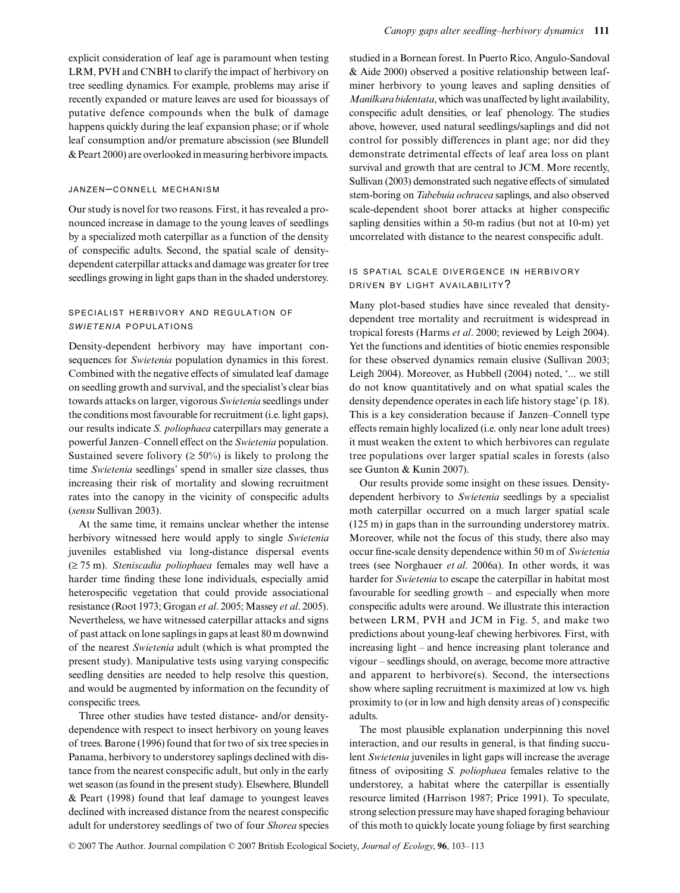explicit consideration of leaf age is paramount when testing LRM, PVH and CNBH to clarify the impact of herbivory on tree seedling dynamics. For example, problems may arise if recently expanded or mature leaves are used for bioassays of putative defence compounds when the bulk of damage happens quickly during the leaf expansion phase; or if whole leaf consumption and/or premature abscission (see Blundell & Peart 2000) are overlooked in measuring herbivore impacts.

## JANZEN–CONNELL MECHANISM

Our study is novel for two reasons. First, it has revealed a pronounced increase in damage to the young leaves of seedlings by a specialized moth caterpillar as a function of the density of conspecific adults. Second, the spatial scale of densitydependent caterpillar attacks and damage was greater for tree seedlings growing in light gaps than in the shaded understorey.

# SPECIALIST HERBIVORY AND REGULATION OF *SWIETENIA* POPULATIONS

Density-dependent herbivory may have important consequences for *Swietenia* population dynamics in this forest. Combined with the negative effects of simulated leaf damage on seedling growth and survival, and the specialist's clear bias towards attacks on larger, vigorous *Swietenia* seedlings under the conditions most favourable for recruitment (i.e. light gaps), our results indicate *S. poliophaea* caterpillars may generate a powerful Janzen–Connell effect on the *Swietenia* population. Sustained severe folivory ( $\geq 50\%$ ) is likely to prolong the time *Swietenia* seedlings' spend in smaller size classes, thus increasing their risk of mortality and slowing recruitment rates into the canopy in the vicinity of conspecific adults (*sensu* Sullivan 2003).

At the same time, it remains unclear whether the intense herbivory witnessed here would apply to single *Swietenia* juveniles established via long-distance dispersal events (≥ 75 m). *Steniscadia poliophaea* females may well have a harder time finding these lone individuals, especially amid heterospecific vegetation that could provide associational resistance (Root 1973; Grogan *et al*. 2005; Massey *et al*. 2005). Nevertheless, we have witnessed caterpillar attacks and signs of past attack on lone saplings in gaps at least 80 m downwind of the nearest *Swietenia* adult (which is what prompted the present study). Manipulative tests using varying conspecific seedling densities are needed to help resolve this question, and would be augmented by information on the fecundity of conspecific trees.

Three other studies have tested distance- and/or densitydependence with respect to insect herbivory on young leaves of trees. Barone (1996) found that for two of six tree species in Panama, herbivory to understorey saplings declined with distance from the nearest conspecific adult, but only in the early wet season (as found in the present study). Elsewhere, Blundell & Peart (1998) found that leaf damage to youngest leaves declined with increased distance from the nearest conspecific adult for understorey seedlings of two of four *Shorea* species

studied in a Bornean forest. In Puerto Rico, Angulo-Sandoval & Aide 2000) observed a positive relationship between leafminer herbivory to young leaves and sapling densities of *Manilkara bidentata*, which was unaffected by light availability, conspecific adult densities, or leaf phenology. The studies above, however, used natural seedlings/saplings and did not control for possibly differences in plant age; nor did they demonstrate detrimental effects of leaf area loss on plant survival and growth that are central to JCM. More recently, Sullivan (2003) demonstrated such negative effects of simulated stem-boring on *Tabebuia ochracea* saplings, and also observed scale-dependent shoot borer attacks at higher conspecific sapling densities within a 50-m radius (but not at 10-m) yet uncorrelated with distance to the nearest conspecific adult.

# IS SPATIAL SCALE DIVERGENCE IN HERBIVORY DRIVEN BY LIGHT AVAILABILITY?

Many plot-based studies have since revealed that densitydependent tree mortality and recruitment is widespread in tropical forests (Harms *et al*. 2000; reviewed by Leigh 2004). Yet the functions and identities of biotic enemies responsible for these observed dynamics remain elusive (Sullivan 2003; Leigh 2004). Moreover, as Hubbell (2004) noted, '... we still do not know quantitatively and on what spatial scales the density dependence operates in each life history stage' (p. 18). This is a key consideration because if Janzen–Connell type effects remain highly localized (i.e. only near lone adult trees) it must weaken the extent to which herbivores can regulate tree populations over larger spatial scales in forests (also see Gunton & Kunin 2007).

Our results provide some insight on these issues. Densitydependent herbivory to *Swietenia* seedlings by a specialist moth caterpillar occurred on a much larger spatial scale (125 m) in gaps than in the surrounding understorey matrix. Moreover, while not the focus of this study, there also may occur fine-scale density dependence within 50 m of *Swietenia* trees (see Norghauer *et al*. 2006a). In other words, it was harder for *Swietenia* to escape the caterpillar in habitat most favourable for seedling growth – and especially when more conspecific adults were around. We illustrate this interaction between LRM, PVH and JCM in Fig. 5, and make two predictions about young-leaf chewing herbivores. First, with increasing light – and hence increasing plant tolerance and vigour – seedlings should, on average, become more attractive and apparent to herbivore(s). Second, the intersections show where sapling recruitment is maximized at low vs. high proximity to (or in low and high density areas of ) conspecific adults.

The most plausible explanation underpinning this novel interaction, and our results in general, is that finding succulent *Swietenia* juveniles in light gaps will increase the average fitness of ovipositing *S. poliophaea* females relative to the understorey, a habitat where the caterpillar is essentially resource limited (Harrison 1987; Price 1991). To speculate, strong selection pressure may have shaped foraging behaviour of this moth to quickly locate young foliage by first searching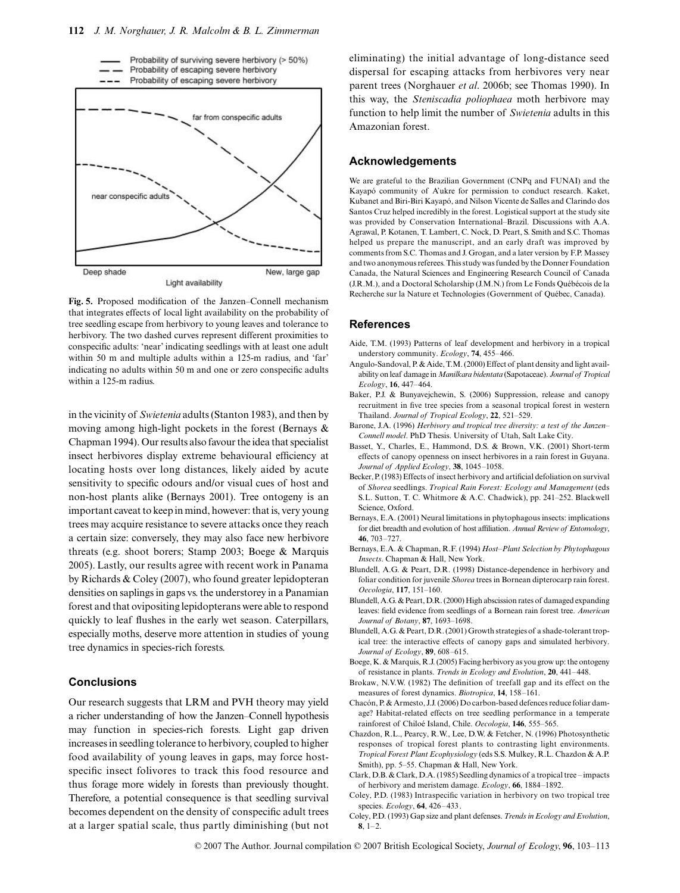

**Fig. 5.** Proposed modification of the Janzen–Connell mechanism that integrates effects of local light availability on the probability of tree seedling escape from herbivory to young leaves and tolerance to herbivory. The two dashed curves represent different proximities to conspecific adults: 'near' indicating seedlings with at least one adult within 50 m and multiple adults within a 125-m radius, and 'far' indicating no adults within 50 m and one or zero conspecific adults within a 125-m radius.

in the vicinity of *Swietenia* adults (Stanton 1983), and then by moving among high-light pockets in the forest (Bernays & Chapman 1994). Our results also favour the idea that specialist insect herbivores display extreme behavioural efficiency at locating hosts over long distances, likely aided by acute sensitivity to specific odours and/or visual cues of host and non-host plants alike (Bernays 2001). Tree ontogeny is an important caveat to keep in mind, however: that is, very young trees may acquire resistance to severe attacks once they reach a certain size: conversely, they may also face new herbivore threats (e.g. shoot borers; Stamp 2003; Boege & Marquis 2005). Lastly, our results agree with recent work in Panama by Richards & Coley (2007), who found greater lepidopteran densities on saplings in gaps vs. the understorey in a Panamian forest and that ovipositing lepidopterans were able to respond quickly to leaf flushes in the early wet season. Caterpillars, especially moths, deserve more attention in studies of young tree dynamics in species-rich forests.

# **Conclusions**

Our research suggests that LRM and PVH theory may yield a richer understanding of how the Janzen–Connell hypothesis may function in species-rich forests. Light gap driven increases in seedling tolerance to herbivory, coupled to higher food availability of young leaves in gaps, may force hostspecific insect folivores to track this food resource and thus forage more widely in forests than previously thought. Therefore, a potential consequence is that seedling survival becomes dependent on the density of conspecific adult trees at a larger spatial scale, thus partly diminishing (but not eliminating) the initial advantage of long-distance seed dispersal for escaping attacks from herbivores very near parent trees (Norghauer *et al*. 2006b; see Thomas 1990). In this way, the *Steniscadia poliophaea* moth herbivore may function to help limit the number of *Swietenia* adults in this Amazonian forest.

# **Acknowledgements**

We are grateful to the Brazilian Government (CNPq and FUNAI) and the Kayapó community of A'ukre for permission to conduct research. Kaket, Kubanet and Biri-Biri Kayapó, and Nilson Vicente de Salles and Clarindo dos Santos Cruz helped incredibly in the forest. Logistical support at the study site was provided by Conservation International–Brazil. Discussions with A.A. Agrawal, P. Kotanen, T. Lambert, C. Nock, D. Peart, S. Smith and S.C. Thomas helped us prepare the manuscript, and an early draft was improved by comments from S.C. Thomas and J. Grogan, and a later version by F.P. Massey and two anonymous referees. This study was funded by the Donner Foundation Canada, the Natural Sciences and Engineering Research Council of Canada (J.R.M.), and a Doctoral Scholarship (J.M.N.) from Le Fonds Québécois de la Recherche sur la Nature et Technologies (Government of Québec, Canada).

# **References**

- Aide, T.M. (1993) Patterns of leaf development and herbivory in a tropical understory community. *Ecology*, **74**, 455–466.
- Angulo-Sandoval, P. & Aide, T.M. (2000) Effect of plant density and light availability on leaf damage in *Manilkara bidentata* (Sapotaceae). *Journal of Tropical Ecology*, **16**, 447–464.
- Baker, P.J. & Bunyavejchewin, S. (2006) Suppression, release and canopy recruitment in five tree species from a seasonal tropical forest in western Thailand. *Journal of Tropical Ecology*, **22**, 521–529.
- Barone, J.A. (1996) *Herbivory and tropical tree diversity: a test of the Janzen– Connell model*. PhD Thesis. University of Utah, Salt Lake City.
- Basset, Y., Charles, E., Hammond, D.S. & Brown, V.K. (2001) Short-term effects of canopy openness on insect herbivores in a rain forest in Guyana. *Journal of Applied Ecology*, **38**, 1045–1058.
- Becker, P. (1983) Effects of insect herbivory and artificial defoliation on survival of *Shorea* seedlings. *Tropical Rain Forest: Ecology and Management* (eds S.L. Sutton, T. C. Whitmore & A.C. Chadwick), pp. 241–252. Blackwell Science, Oxford.
- Bernays, E.A. (2001) Neural limitations in phytophagous insects: implications for diet breadth and evolution of host affiliation. *Annual Review of Entomology*, **46**, 703–727.
- Bernays, E.A. & Chapman, R.F. (1994) *Host–Plant Selection by Phytophagous Insects*. Chapman & Hall, New York.
- Blundell, A.G. & Peart, D.R. (1998) Distance-dependence in herbivory and foliar condition for juvenile *Shorea* trees in Bornean dipterocarp rain forest. *Oecologia*, **117**, 151–160.
- Blundell, A.G. & Peart, D.R. (2000) High abscission rates of damaged expanding leaves: field evidence from seedlings of a Bornean rain forest tree. *American Journal of Botany*, **87**, 1693–1698.
- Blundell, A.G. & Peart, D.R. (2001) Growth strategies of a shade-tolerant tropical tree: the interactive effects of canopy gaps and simulated herbivory. *Journal of Ecology*, **89**, 608–615.
- Boege, K. & Marquis, R.J. (2005) Facing herbivory as you grow up: the ontogeny of resistance in plants. *Trends in Ecology and Evolution*, **20**, 441–448.
- Brokaw, N.V.W. (1982) The definition of treefall gap and its effect on the measures of forest dynamics. *Biotropica*, **14**, 158–161.
- Chacón, P. & Armesto, J.J. (2006) Do carbon-based defences reduce foliar damage? Habitat-related effects on tree seedling performance in a temperate rainforest of Chiloé Island, Chile. *Oecologia*, **146**, 555–565.
- Chazdon, R.L., Pearcy, R.W., Lee, D.W. & Fetcher, N. (1996) Photosynthetic responses of tropical forest plants to contrasting light environments. *Tropical Forest Plant Ecophysiology* (eds S.S. Mulkey, R.L. Chazdon & A.P. Smith), pp. 5–55. Chapman & Hall, New York.
- Clark, D.B. & Clark, D.A. (1985) Seedling dynamics of a tropical tree impacts of herbivory and meristem damage. *Ecology*, **66**, 1884–1892.
- Coley, P.D. (1983) Intraspecific variation in herbivory on two tropical tree species. *Ecology*, **64**, 426–433.
- Coley, P.D. (1993) Gap size and plant defenses. *Trends in Ecology and Evolution*, **8**, 1–2.